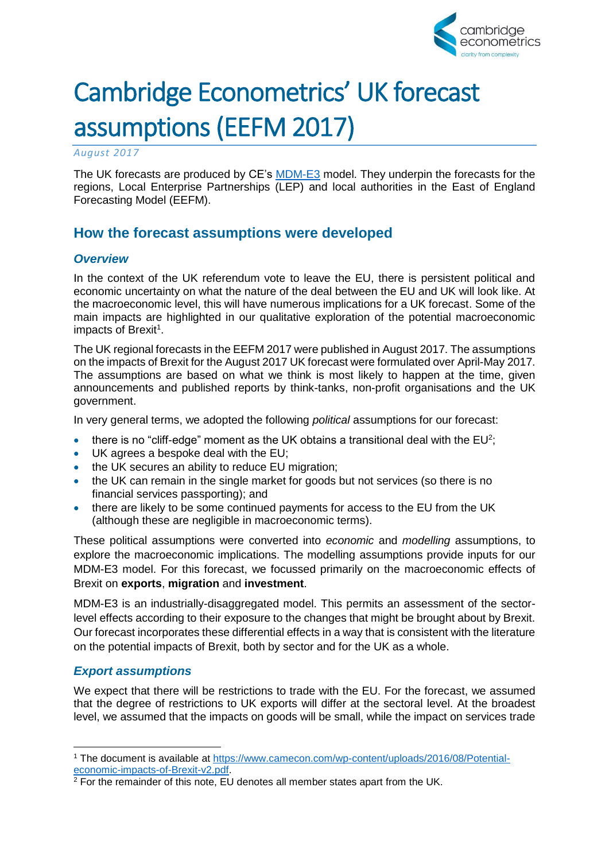

# Cambridge Econometrics' UK forecast assumptions (EEFM 2017)

*August 2017*

The UK forecasts are produced by CE's [MDM-E3](http://www.camecon.com/how/mdm-e3-model/) model. They underpin the forecasts for the regions, Local Enterprise Partnerships (LEP) and local authorities in the East of England Forecasting Model (EEFM).

## **How the forecast assumptions were developed**

### *Overview*

In the context of the UK referendum vote to leave the EU, there is persistent political and economic uncertainty on what the nature of the deal between the EU and UK will look like. At the macroeconomic level, this will have numerous implications for a UK forecast. Some of the main impacts are highlighted in our qualitative exploration of the potential macroeconomic impacts of Brexit<sup>1</sup>.

The UK regional forecasts in the EEFM 2017 were published in August 2017. The assumptions on the impacts of Brexit for the August 2017 UK forecast were formulated over April-May 2017. The assumptions are based on what we think is most likely to happen at the time, given announcements and published reports by think-tanks, non-profit organisations and the UK government.

In very general terms, we adopted the following *political* assumptions for our forecast:

- there is no "cliff-edge" moment as the UK obtains a transitional deal with the  $EU^2$ ;
- UK agrees a bespoke deal with the EU;
- the UK secures an ability to reduce EU migration:
- the UK can remain in the single market for goods but not services (so there is no financial services passporting); and
- there are likely to be some continued payments for access to the EU from the UK (although these are negligible in macroeconomic terms).

These political assumptions were converted into *economic* and *modelling* assumptions, to explore the macroeconomic implications. The modelling assumptions provide inputs for our MDM-E3 model. For this forecast, we focussed primarily on the macroeconomic effects of Brexit on **exports**, **migration** and **investment**.

MDM-E3 is an industrially-disaggregated model. This permits an assessment of the sectorlevel effects according to their exposure to the changes that might be brought about by Brexit. Our forecast incorporates these differential effects in a way that is consistent with the literature on the potential impacts of Brexit, both by sector and for the UK as a whole.

### *Export assumptions*

-

We expect that there will be restrictions to trade with the EU. For the forecast, we assumed that the degree of restrictions to UK exports will differ at the sectoral level. At the broadest level, we assumed that the impacts on goods will be small, while the impact on services trade

<sup>1</sup> The document is available at [https://www.camecon.com/wp-content/uploads/2016/08/Potential](https://www.camecon.com/wp-content/uploads/2016/08/Potential-economic-impacts-of-Brexit-v2.pdf)[economic-impacts-of-Brexit-v2.pdf.](https://www.camecon.com/wp-content/uploads/2016/08/Potential-economic-impacts-of-Brexit-v2.pdf)

 $2$  For the remainder of this note, EU denotes all member states apart from the UK.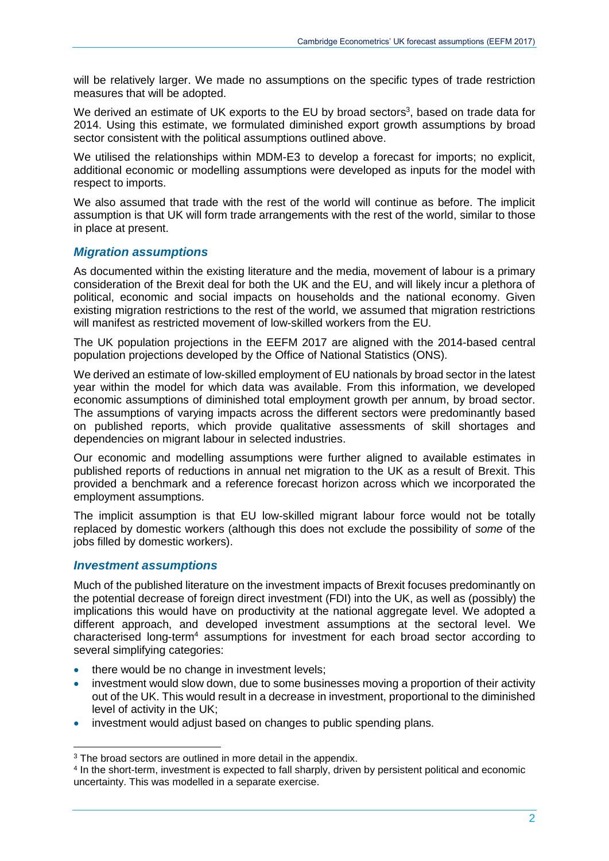will be relatively larger. We made no assumptions on the specific types of trade restriction measures that will be adopted.

We derived an estimate of UK exports to the EU by broad sectors<sup>3</sup>, based on trade data for 2014. Using this estimate, we formulated diminished export growth assumptions by broad sector consistent with the political assumptions outlined above.

We utilised the relationships within MDM-E3 to develop a forecast for imports; no explicit, additional economic or modelling assumptions were developed as inputs for the model with respect to imports.

We also assumed that trade with the rest of the world will continue as before. The implicit assumption is that UK will form trade arrangements with the rest of the world, similar to those in place at present.

#### *Migration assumptions*

As documented within the existing literature and the media, movement of labour is a primary consideration of the Brexit deal for both the UK and the EU, and will likely incur a plethora of political, economic and social impacts on households and the national economy. Given existing migration restrictions to the rest of the world, we assumed that migration restrictions will manifest as restricted movement of low-skilled workers from the EU.

The UK population projections in the EEFM 2017 are aligned with the 2014-based central population projections developed by the Office of National Statistics (ONS).

We derived an estimate of low-skilled employment of EU nationals by broad sector in the latest year within the model for which data was available. From this information, we developed economic assumptions of diminished total employment growth per annum, by broad sector. The assumptions of varying impacts across the different sectors were predominantly based on published reports, which provide qualitative assessments of skill shortages and dependencies on migrant labour in selected industries.

Our economic and modelling assumptions were further aligned to available estimates in published reports of reductions in annual net migration to the UK as a result of Brexit. This provided a benchmark and a reference forecast horizon across which we incorporated the employment assumptions.

The implicit assumption is that EU low-skilled migrant labour force would not be totally replaced by domestic workers (although this does not exclude the possibility of *some* of the jobs filled by domestic workers).

#### *Investment assumptions*

-

Much of the published literature on the investment impacts of Brexit focuses predominantly on the potential decrease of foreign direct investment (FDI) into the UK, as well as (possibly) the implications this would have on productivity at the national aggregate level. We adopted a different approach, and developed investment assumptions at the sectoral level. We characterised long-term<sup>4</sup> assumptions for investment for each broad sector according to several simplifying categories:

- there would be no change in investment levels;
- investment would slow down, due to some businesses moving a proportion of their activity out of the UK. This would result in a decrease in investment, proportional to the diminished level of activity in the UK;
- investment would adjust based on changes to public spending plans.

<sup>&</sup>lt;sup>3</sup> The broad sectors are outlined in more detail in the appendix.

<sup>4</sup> In the short-term, investment is expected to fall sharply, driven by persistent political and economic uncertainty. This was modelled in a separate exercise.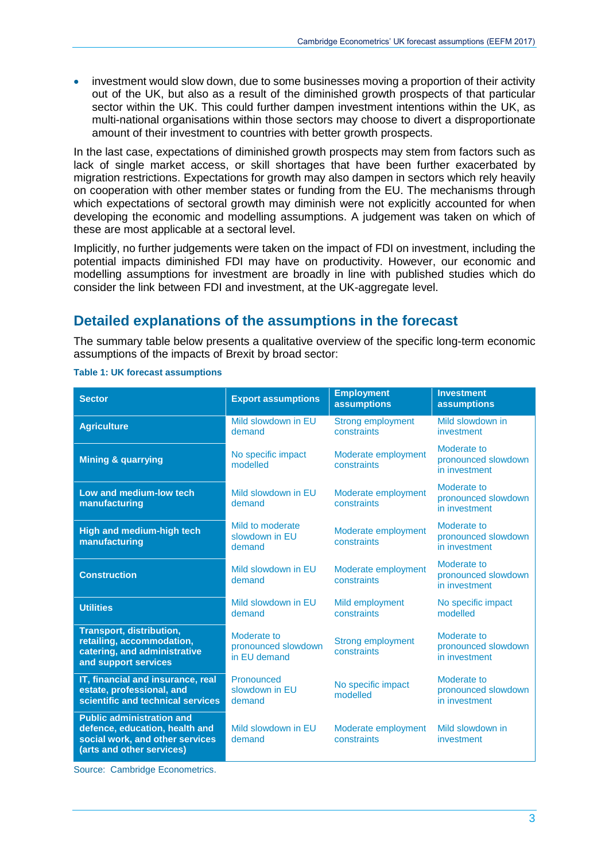• investment would slow down, due to some businesses moving a proportion of their activity out of the UK, but also as a result of the diminished growth prospects of that particular sector within the UK. This could further dampen investment intentions within the UK, as multi-national organisations within those sectors may choose to divert a disproportionate amount of their investment to countries with better growth prospects.

In the last case, expectations of diminished growth prospects may stem from factors such as lack of single market access, or skill shortages that have been further exacerbated by migration restrictions. Expectations for growth may also dampen in sectors which rely heavily on cooperation with other member states or funding from the EU. The mechanisms through which expectations of sectoral growth may diminish were not explicitly accounted for when developing the economic and modelling assumptions. A judgement was taken on which of these are most applicable at a sectoral level.

Implicitly, no further judgements were taken on the impact of FDI on investment, including the potential impacts diminished FDI may have on productivity. However, our economic and modelling assumptions for investment are broadly in line with published studies which do consider the link between FDI and investment, at the UK-aggregate level.

### **Detailed explanations of the assumptions in the forecast**

The summary table below presents a qualitative overview of the specific long-term economic assumptions of the impacts of Brexit by broad sector:

| <b>Sector</b>                                                                                                                      | <b>Export assumptions</b>                          | <b>Employment</b><br><b>assumptions</b> | <b>Investment</b><br><b>assumptions</b>             |
|------------------------------------------------------------------------------------------------------------------------------------|----------------------------------------------------|-----------------------------------------|-----------------------------------------------------|
| <b>Agriculture</b>                                                                                                                 | Mild slowdown in EU<br>demand                      | <b>Strong employment</b><br>constraints | Mild slowdown in<br>investment                      |
| <b>Mining &amp; quarrying</b>                                                                                                      | No specific impact<br>modelled                     | Moderate employment<br>constraints      | Moderate to<br>pronounced slowdown<br>in investment |
| Low and medium-low tech<br>manufacturing                                                                                           | Mild slowdown in EU<br>demand                      | Moderate employment<br>constraints      | Moderate to<br>pronounced slowdown<br>in investment |
| <b>High and medium-high tech</b><br>manufacturing                                                                                  | Mild to moderate<br>slowdown in EU<br>demand       | Moderate employment<br>constraints      | Moderate to<br>pronounced slowdown<br>in investment |
| <b>Construction</b>                                                                                                                | Mild slowdown in EU<br>demand                      | Moderate employment<br>constraints      | Moderate to<br>pronounced slowdown<br>in investment |
| <b>Utilities</b>                                                                                                                   | Mild slowdown in EU<br>demand                      | Mild employment<br>constraints          | No specific impact<br>modelled                      |
| <b>Transport, distribution,</b><br>retailing, accommodation,<br>catering, and administrative<br>and support services               | Moderate to<br>pronounced slowdown<br>in EU demand | <b>Strong employment</b><br>constraints | Moderate to<br>pronounced slowdown<br>in investment |
| IT, financial and insurance, real<br>estate, professional, and<br>scientific and technical services                                | Pronounced<br>slowdown in EU<br>demand             | No specific impact<br>modelled          | Moderate to<br>pronounced slowdown<br>in investment |
| <b>Public administration and</b><br>defence, education, health and<br>social work, and other services<br>(arts and other services) | Mild slowdown in EU<br>demand                      | Moderate employment<br>constraints      | Mild slowdown in<br>investment                      |

#### **Table 1: UK forecast assumptions**

Source: Cambridge Econometrics.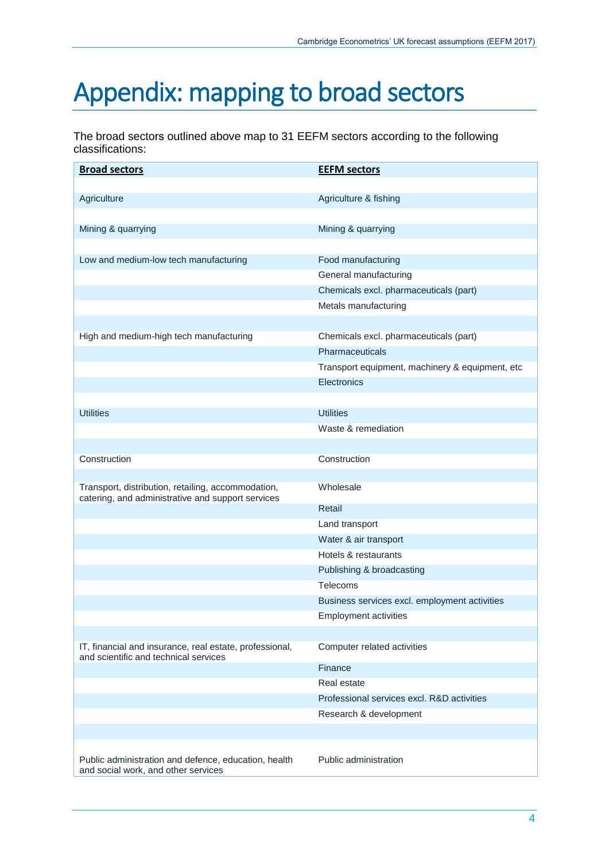## Appendix: mapping to broad sectors

The broad sectors outlined above map to 31 EEFM sectors according to the following classifications:

| <b>Broad sectors</b>                                                                                    | <b>EEFM sectors</b>                             |
|---------------------------------------------------------------------------------------------------------|-------------------------------------------------|
|                                                                                                         |                                                 |
| Agriculture                                                                                             | Agriculture & fishing                           |
|                                                                                                         |                                                 |
| Mining & quarrying                                                                                      | Mining & quarrying                              |
|                                                                                                         |                                                 |
| Low and medium-low tech manufacturing                                                                   | Food manufacturing                              |
|                                                                                                         | General manufacturing                           |
|                                                                                                         | Chemicals excl. pharmaceuticals (part)          |
|                                                                                                         | Metals manufacturing                            |
|                                                                                                         |                                                 |
| High and medium-high tech manufacturing                                                                 | Chemicals excl. pharmaceuticals (part)          |
|                                                                                                         | Pharmaceuticals                                 |
|                                                                                                         | Transport equipment, machinery & equipment, etc |
|                                                                                                         | Electronics                                     |
|                                                                                                         |                                                 |
| <b>Utilities</b>                                                                                        | <b>Utilities</b>                                |
|                                                                                                         | Waste & remediation                             |
|                                                                                                         |                                                 |
| Construction                                                                                            | Construction                                    |
|                                                                                                         |                                                 |
| Transport, distribution, retailing, accommodation,<br>catering, and administrative and support services | Wholesale                                       |
|                                                                                                         | Retail                                          |
|                                                                                                         | Land transport                                  |
|                                                                                                         | Water & air transport                           |
|                                                                                                         | Hotels & restaurants                            |
|                                                                                                         | Publishing & broadcasting                       |
|                                                                                                         | Telecoms                                        |
|                                                                                                         | Business services excl. employment activities   |
|                                                                                                         | <b>Employment activities</b>                    |
|                                                                                                         |                                                 |
| IT, financial and insurance, real estate, professional,<br>and scientific and technical services        | Computer related activities                     |
|                                                                                                         | Finance                                         |
|                                                                                                         | Real estate                                     |
|                                                                                                         | Professional services excl. R&D activities      |
|                                                                                                         | Research & development                          |
|                                                                                                         |                                                 |
| Public administration and defence, education, health<br>and social work, and other services             | Public administration                           |